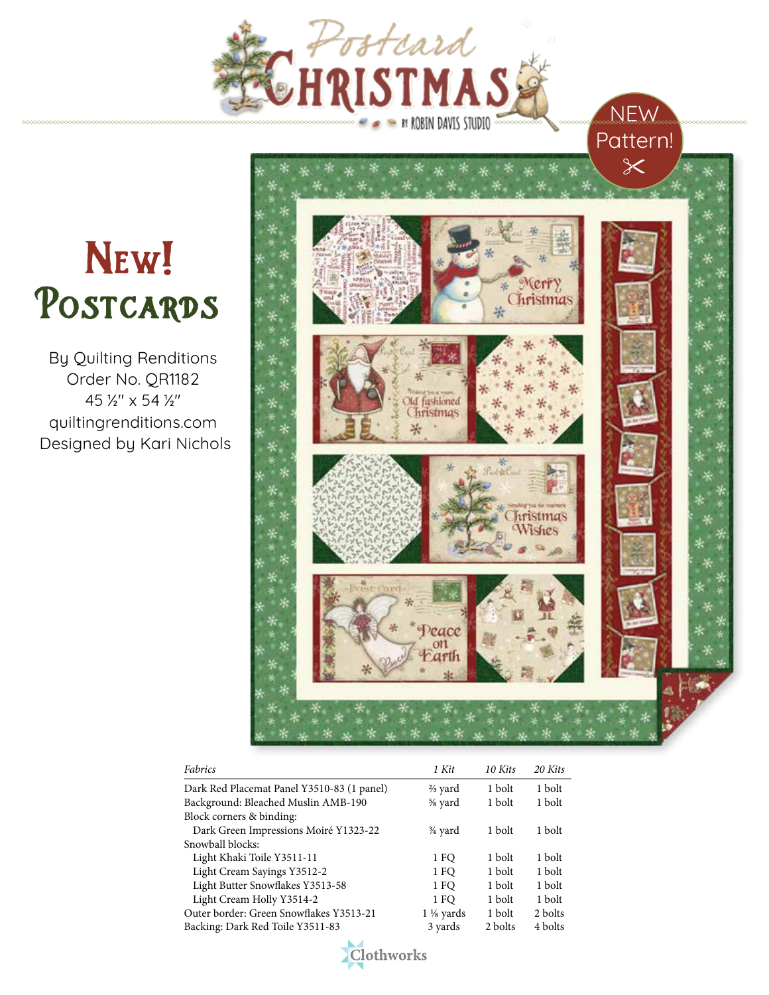

## POSTCARDS NEW!

By Quilting Renditions Order No. QR1182 45 ½" x 54 ½" quiltingrenditions.com Designed by Kari Nichols



NEW

| Fabrics                                    | 1 Kit                | 10 Kits | 20 Kits |
|--------------------------------------------|----------------------|---------|---------|
| Dark Red Placemat Panel Y3510-83 (1 panel) | $\frac{2}{3}$ yard   | 1 bolt  | 1 bolt  |
| Background: Bleached Muslin AMB-190        | % yard               | 1 bolt  | 1 bolt  |
| Block corners & binding:                   |                      |         |         |
| Dark Green Impressions Moiré Y1323-22      | $\frac{3}{4}$ yard   | 1 bolt  | 1 bolt  |
| Snowball blocks:                           |                      |         |         |
| Light Khaki Toile Y3511-11                 | 1 FO                 | 1 bolt  | 1 bolt  |
| Light Cream Sayings Y3512-2                | 1 FO                 | 1 bolt  | 1 bolt  |
| Light Butter Snowflakes Y3513-58           | 1 FO                 | 1 bolt  | 1 bolt  |
| Light Cream Holly Y3514-2                  | 1 FO                 | 1 bolt  | 1 bolt  |
| Outer border: Green Snowflakes Y3513-21    | $1\frac{1}{8}$ yards | 1 bolt  | 2 bolts |
| Backing: Dark Red Toile Y3511-83           | 3 yards              | 2 bolts | 4 bolts |